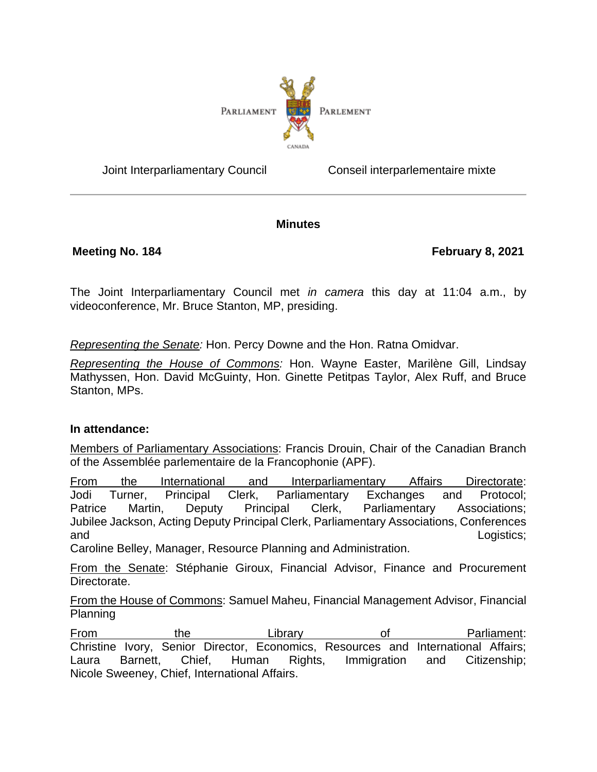

Joint Interparliamentary Council Conseil interparlementaire mixte

### **Minutes**

**Meeting No. 184 February 8, 2021**

The Joint Interparliamentary Council met *in camera* this day at 11:04 a.m., by videoconference, Mr. Bruce Stanton, MP, presiding.

*Representing the Senate:* Hon. Percy Downe and the Hon. Ratna Omidvar.

*Representing the House of Commons:* Hon. Wayne Easter, Marilène Gill, Lindsay Mathyssen, Hon. David McGuinty, Hon. Ginette Petitpas Taylor, Alex Ruff, and Bruce Stanton, MPs.

### **In attendance:**

Members of Parliamentary Associations: Francis Drouin, Chair of the Canadian Branch of the Assemblée parlementaire de la Francophonie (APF).

From the International and Interparliamentary Affairs Directorate: Jodi Turner, Principal Clerk, Parliamentary Exchanges and Protocol; Patrice Martin, Deputy Principal Clerk, Parliamentary Associations; Jubilee Jackson, Acting Deputy Principal Clerk, Parliamentary Associations, Conferences and Logistics;

Caroline Belley, Manager, Resource Planning and Administration.

From the Senate: Stéphanie Giroux, Financial Advisor, Finance and Procurement Directorate.

From the House of Commons: Samuel Maheu, Financial Management Advisor, Financial Planning

From the Library of Parliament: Christine Ivory, Senior Director, Economics, Resources and International Affairs; Laura Barnett, Chief, Human Rights, Immigration and Citizenship; Nicole Sweeney, Chief, International Affairs.